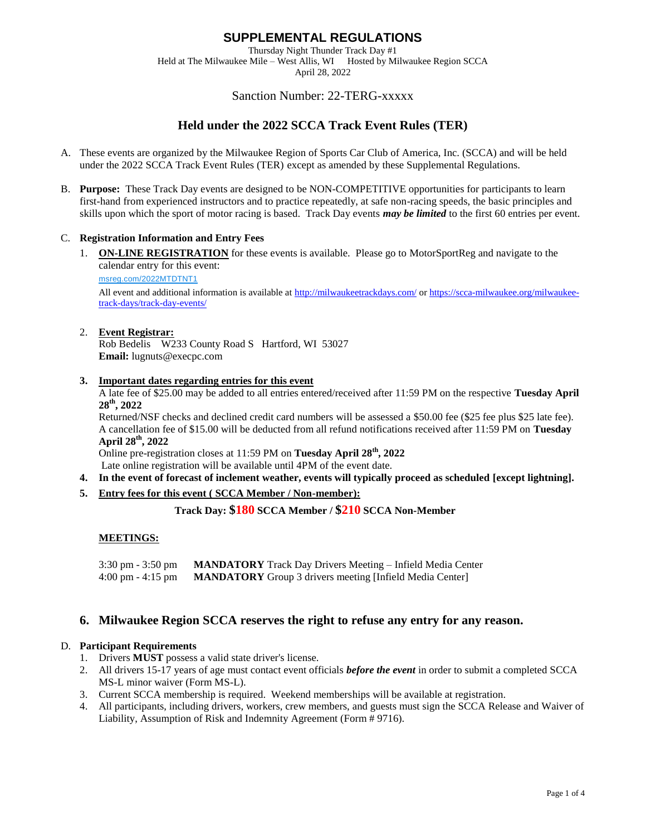Thursday Night Thunder Track Day #1 Held at The Milwaukee Mile – West Allis, WI Hosted by Milwaukee Region SCCA

April 28, 2022

# Sanction Number: 22-TERG-xxxxx

# **Held under the 2022 SCCA Track Event Rules (TER)**

- A. These events are organized by the Milwaukee Region of Sports Car Club of America, Inc. (SCCA) and will be held under the 2022 SCCA Track Event Rules (TER) except as amended by these Supplemental Regulations.
- B. **Purpose:** These Track Day events are designed to be NON-COMPETITIVE opportunities for participants to learn first-hand from experienced instructors and to practice repeatedly, at safe non-racing speeds, the basic principles and skills upon which the sport of motor racing is based. Track Day events *may be limited* to the first 60 entries per event.

## C. **Registration Information and Entry Fees**

1. **ON-LINE REGISTRATION** for these events is available. Please go to MotorSportReg and navigate to the calendar entry for this event:

[msreg.com/2022MTDTNT1](http://msreg.com/2022MTDTNT1)

All event and additional information is available at <http://milwaukeetrackdays.com/> or [https://scca-milwaukee.org/milwaukee](https://scca-milwaukee.org/milwaukee-track-days/track-day-events/)[track-days/track-day-events/](https://scca-milwaukee.org/milwaukee-track-days/track-day-events/)

#### 2. **Event Registrar:**

Rob Bedelis W233 County Road S Hartford, WI 53027 **Email:** lugnuts@execpc.com

#### **3. Important dates regarding entries for this event**

A late fee of \$25.00 may be added to all entries entered/received after 11:59 PM on the respective **Tuesday April 28th, 2022**

Returned/NSF checks and declined credit card numbers will be assessed a \$50.00 fee (\$25 fee plus \$25 late fee). A cancellation fee of \$15.00 will be deducted from all refund notifications received after 11:59 PM on **Tuesday April 28th, 2022**

Online pre-registration closes at 11:59 PM on **Tuesday April 28th, 2022**

Late online registration will be available until 4PM of the event date.

- **4. In the event of forecast of inclement weather, events will typically proceed as scheduled [except lightning].**
- **5. Entry fees for this event ( SCCA Member / Non-member):**

**Track Day: \$180 SCCA Member / \$210 SCCA Non-Member**

## **MEETINGS:**

3:30 pm - 3:50 pm **MANDATORY** Track Day Drivers Meeting – Infield Media Center 4:00 pm - 4:15 pm **MANDATORY** Group 3 drivers meeting [Infield Media Center]

## **6. Milwaukee Region SCCA reserves the right to refuse any entry for any reason.**

## D. **Participant Requirements**

- 1. Drivers **MUST** possess a valid state driver's license.
- 2. All drivers 15-17 years of age must contact event officials *before the event* in order to submit a completed SCCA MS-L minor waiver (Form MS-L).
- 3. Current SCCA membership is required. Weekend memberships will be available at registration.
- 4. All participants, including drivers, workers, crew members, and guests must sign the SCCA Release and Waiver of Liability, Assumption of Risk and Indemnity Agreement (Form # 9716).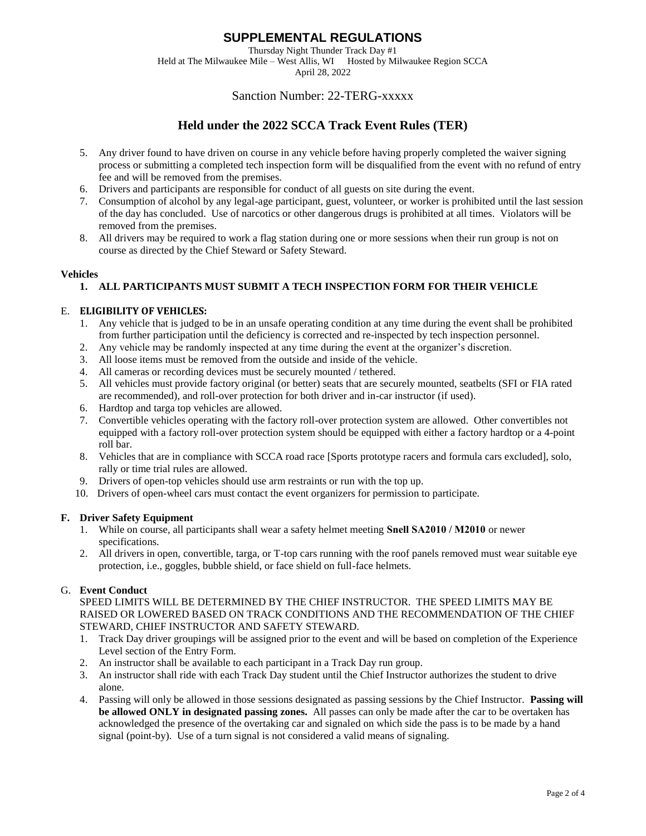Thursday Night Thunder Track Day #1

Held at The Milwaukee Mile – West Allis, WI Hosted by Milwaukee Region SCCA April 28, 2022

## Sanction Number: 22-TERG-xxxxx

# **Held under the 2022 SCCA Track Event Rules (TER)**

- 5. Any driver found to have driven on course in any vehicle before having properly completed the waiver signing process or submitting a completed tech inspection form will be disqualified from the event with no refund of entry fee and will be removed from the premises.
- 6. Drivers and participants are responsible for conduct of all guests on site during the event.
- 7. Consumption of alcohol by any legal-age participant, guest, volunteer, or worker is prohibited until the last session of the day has concluded. Use of narcotics or other dangerous drugs is prohibited at all times. Violators will be removed from the premises.
- 8. All drivers may be required to work a flag station during one or more sessions when their run group is not on course as directed by the Chief Steward or Safety Steward.

#### **Vehicles**

## **1. ALL PARTICIPANTS MUST SUBMIT A TECH INSPECTION FORM FOR THEIR VEHICLE**

#### E. **ELIGIBILITY OF VEHICLES:**

- 1. Any vehicle that is judged to be in an unsafe operating condition at any time during the event shall be prohibited from further participation until the deficiency is corrected and re-inspected by tech inspection personnel.
- 2. Any vehicle may be randomly inspected at any time during the event at the organizer's discretion.
- 3. All loose items must be removed from the outside and inside of the vehicle.
- 4. All cameras or recording devices must be securely mounted / tethered.
- 5. All vehicles must provide factory original (or better) seats that are securely mounted, seatbelts (SFI or FIA rated are recommended), and roll-over protection for both driver and in-car instructor (if used).
- 6. Hardtop and targa top vehicles are allowed.
- 7. Convertible vehicles operating with the factory roll-over protection system are allowed. Other convertibles not equipped with a factory roll-over protection system should be equipped with either a factory hardtop or a 4-point roll bar.
- 8. Vehicles that are in compliance with SCCA road race [Sports prototype racers and formula cars excluded], solo, rally or time trial rules are allowed.
- 9. Drivers of open-top vehicles should use arm restraints or run with the top up.
- 10. Drivers of open-wheel cars must contact the event organizers for permission to participate.

## **F. Driver Safety Equipment**

- 1. While on course, all participants shall wear a safety helmet meeting **Snell SA2010 / M2010** or newer specifications.
- 2. All drivers in open, convertible, targa, or T-top cars running with the roof panels removed must wear suitable eye protection, i.e., goggles, bubble shield, or face shield on full-face helmets.

## G. **Event Conduct**

SPEED LIMITS WILL BE DETERMINED BY THE CHIEF INSTRUCTOR. THE SPEED LIMITS MAY BE RAISED OR LOWERED BASED ON TRACK CONDITIONS AND THE RECOMMENDATION OF THE CHIEF STEWARD, CHIEF INSTRUCTOR AND SAFETY STEWARD.

- 1. Track Day driver groupings will be assigned prior to the event and will be based on completion of the Experience Level section of the Entry Form.
- 2. An instructor shall be available to each participant in a Track Day run group.
- 3. An instructor shall ride with each Track Day student until the Chief Instructor authorizes the student to drive alone.
- 4. Passing will only be allowed in those sessions designated as passing sessions by the Chief Instructor. **Passing will be allowed ONLY in designated passing zones.** All passes can only be made after the car to be overtaken has acknowledged the presence of the overtaking car and signaled on which side the pass is to be made by a hand signal (point-by). Use of a turn signal is not considered a valid means of signaling.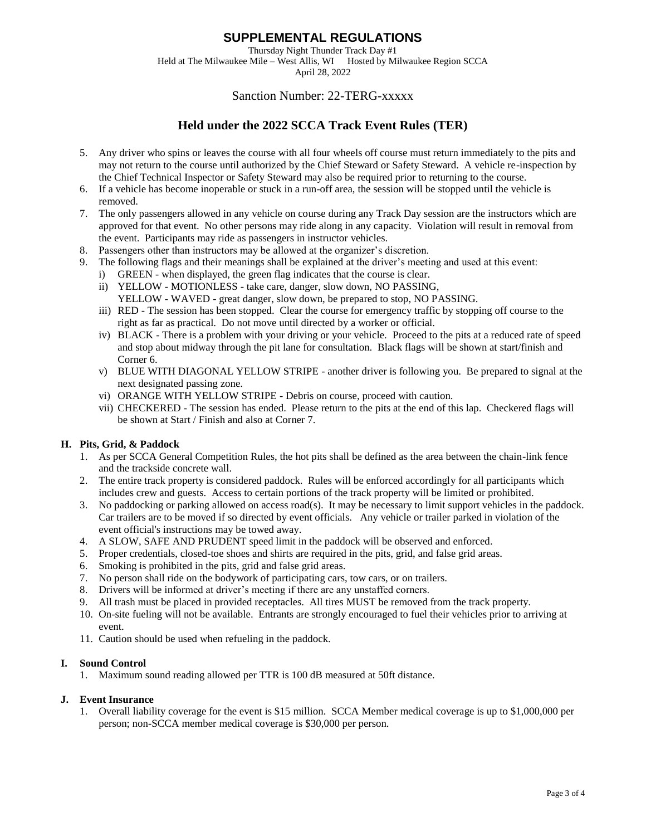Thursday Night Thunder Track Day #1 Held at The Milwaukee Mile – West Allis, WI Hosted by Milwaukee Region SCCA

April 28, 2022

# Sanction Number: 22-TERG-xxxxx

# **Held under the 2022 SCCA Track Event Rules (TER)**

- 5. Any driver who spins or leaves the course with all four wheels off course must return immediately to the pits and may not return to the course until authorized by the Chief Steward or Safety Steward. A vehicle re-inspection by the Chief Technical Inspector or Safety Steward may also be required prior to returning to the course.
- 6. If a vehicle has become inoperable or stuck in a run-off area, the session will be stopped until the vehicle is removed.
- 7. The only passengers allowed in any vehicle on course during any Track Day session are the instructors which are approved for that event. No other persons may ride along in any capacity. Violation will result in removal from the event. Participants may ride as passengers in instructor vehicles.
- 8. Passengers other than instructors may be allowed at the organizer's discretion.
- 9. The following flags and their meanings shall be explained at the driver's meeting and used at this event: i) GREEN - when displayed, the green flag indicates that the course is clear.
	- ii) YELLOW MOTIONLESS take care, danger, slow down, NO PASSING,
	- YELLOW WAVED great danger, slow down, be prepared to stop, NO PASSING.
	- iii) RED The session has been stopped. Clear the course for emergency traffic by stopping off course to the right as far as practical. Do not move until directed by a worker or official.
	- iv) BLACK There is a problem with your driving or your vehicle. Proceed to the pits at a reduced rate of speed and stop about midway through the pit lane for consultation. Black flags will be shown at start/finish and Corner 6.
	- v) BLUE WITH DIAGONAL YELLOW STRIPE another driver is following you. Be prepared to signal at the next designated passing zone.
	- vi) ORANGE WITH YELLOW STRIPE Debris on course, proceed with caution.
	- vii) CHECKERED The session has ended. Please return to the pits at the end of this lap. Checkered flags will be shown at Start / Finish and also at Corner 7.

## **H. Pits, Grid, & Paddock**

- 1. As per SCCA General Competition Rules, the hot pits shall be defined as the area between the chain-link fence and the trackside concrete wall.
- 2. The entire track property is considered paddock. Rules will be enforced accordingly for all participants which includes crew and guests. Access to certain portions of the track property will be limited or prohibited.
- 3. No paddocking or parking allowed on access road(s). It may be necessary to limit support vehicles in the paddock. Car trailers are to be moved if so directed by event officials. Any vehicle or trailer parked in violation of the event official's instructions may be towed away.
- 4. A SLOW, SAFE AND PRUDENT speed limit in the paddock will be observed and enforced.
- 5. Proper credentials, closed-toe shoes and shirts are required in the pits, grid, and false grid areas.
- 6. Smoking is prohibited in the pits, grid and false grid areas.
- 7. No person shall ride on the bodywork of participating cars, tow cars, or on trailers.
- 8. Drivers will be informed at driver's meeting if there are any unstaffed corners.
- 9. All trash must be placed in provided receptacles. All tires MUST be removed from the track property.
- 10. On-site fueling will not be available. Entrants are strongly encouraged to fuel their vehicles prior to arriving at event.
- 11. Caution should be used when refueling in the paddock.

## **I. Sound Control**

1. Maximum sound reading allowed per TTR is 100 dB measured at 50ft distance.

## **J. Event Insurance**

1. Overall liability coverage for the event is \$15 million. SCCA Member medical coverage is up to \$1,000,000 per person; non-SCCA member medical coverage is \$30,000 per person.